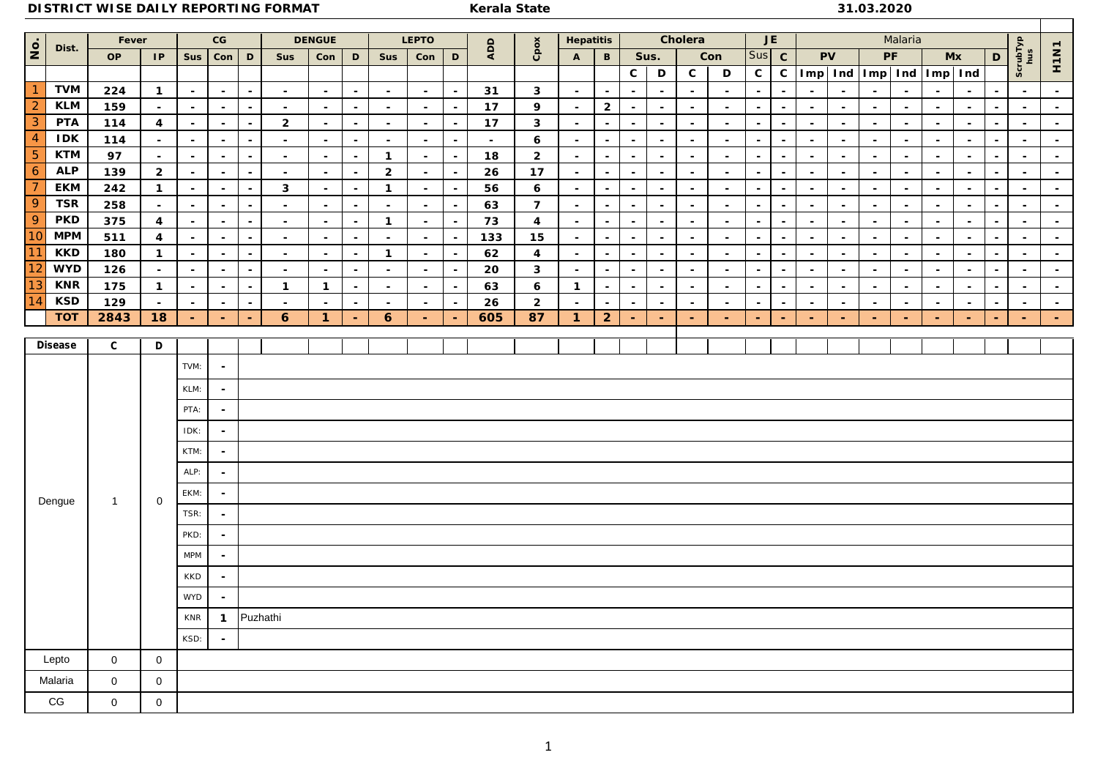| No.                                | Dist.          | Fever               |                                |                  | CG                       |                  | DENGUE       |                          | <b>LEPTO</b>     |                     |                  |                  |          | Hepatitis      |                  | Cholera            |                  |                  |                      | JE               |                  |                  |                  |                  | Malaria          |        |                     |                  |                |                  |                               |
|------------------------------------|----------------|---------------------|--------------------------------|------------------|--------------------------|------------------|--------------|--------------------------|------------------|---------------------|------------------|------------------|----------|----------------|------------------|--------------------|------------------|------------------|----------------------|------------------|------------------|------------------|------------------|------------------|------------------|--------|---------------------|------------------|----------------|------------------|-------------------------------|
|                                    |                | <b>OP</b>           | IP                             | Sus              | Con                      | D                | Sus          | Con                      | D                | Sus                 | Con              | $\mathsf D$      | ADD      | Cpox           | $\overline{A}$   | $\mathsf{B}$       |                  | Sus.             |                      | Con              | Sus              | $\,$ C           | PV               |                  |                  | PF     |                     | Mx               | $\mathsf D$    | ScrubTyp<br>sny  | H <sub>1</sub> N <sub>1</sub> |
|                                    |                |                     |                                |                  |                          |                  |              |                          |                  |                     |                  |                  |          |                |                  |                    | $\mathsf C$      | $\mathsf D$      | $\mathsf C$          | $\mathsf D$      | $\mathsf{C}$     | $\mathsf C$      |                  |                  | Imp Ind Imp Ind  |        | Imp Ind             |                  |                |                  |                               |
| $\overline{1}$                     | <b>TVM</b>     | 224                 | $\mathbf{1}$                   | $\omega$         | $\sim$                   | $\omega$         | $\sim$       | $\sim$                   | $\sim$           | $\sim$              | $\sim$           | $\sim$           | 31       | 3              | $\sim$           | $\sim$             | $\sim$           | $\sim$           | $\sim$               | $\sim$           | $\sim$           |                  |                  |                  | $\sim$           |        | $\sim$              | $\sim$           |                | $\sim$           |                               |
| $\overline{2}$                     | <b>KLM</b>     | 159                 | $\sim$                         | $\sim$           | $\sim$                   | $\sim$           | $\sim$       | $\sim$                   | $\sim$           | $\sim$              | $\sim$           | $\sim$           | 17       | 9              | $\sim$           | $\overline{2}$     | $\sim$           | $\sim$           | $\sim$               | $\sim$           | $\sim$           | $\sim$           | $\sim$           | $\sim$           | $\sim$           | $\sim$ | $\sim$              | $\sim$           | $\sim$         | $\sim$           | $\sim$                        |
| 3                                  | PTA            | 114                 | $\overline{4}$                 | $\sim$           | $\sim$                   | $\sim$           | 2            | $\overline{\phantom{a}}$ | $\sim$           | $\bar{\phantom{a}}$ | $\sim$           | $\sim$           | 17       | $\mathbf{3}$   | $\sim$           | $\sim$             | $\overline{a}$   | $\sim$           | $\sim$               | $\sim$           | $\sim$           | $\sim$           |                  | $\sim$           | $\sim$           |        | $\sim$              | $\sim$           |                |                  | $\sim$                        |
| $\overline{4}$                     | <b>IDK</b>     | 114                 | $\sim$                         | $\sim$           | $\sim$                   | $\sim$           | $\sim$       | $\sim$                   | $\sim$           | $\sim$              | $\sim$           |                  | $\sim$   | 6              | $\sim$           | $\overline{a}$     | $\sim$           | $\sim$           | $\sim$               | $\sim$           | $\Delta \phi$    | $\overline{a}$   | $\sim$           | $\sim$           | $\sim$           |        | $\sim$              | $\sim$           |                | $\sim$           | $\sim$                        |
| $\overline{5}$                     | <b>KTM</b>     | 97                  | $\sim$                         | $\sim$           | $\sim$                   | $\sim$           | $\sim$       | $\sim$                   | $\sim$           | $\mathbf{1}$        | $\sim$           | $\sim$           | 18       | $\overline{2}$ | $\sim$           | $\sim$             | $\sim$           | $\sim$           | $\sim$               | $\sim$           | $\sim$           | $\sim$           | $\sim$           | $\sim$           | $\sim$           | $\sim$ | $\sim$              | $\sim$           |                | $\omega$         | $\sim$                        |
| $\boldsymbol{6}$<br>$\overline{7}$ | ALP<br>EKM     | 139<br>242          | $\overline{2}$<br>$\mathbf{1}$ | $\sim$<br>$\sim$ | $\sim$<br>$\sim$         | $\sim$<br>$\sim$ | $\sim$<br>3  | $\sim$<br>$\sim$         | $\sim$<br>$\sim$ | 2<br>$\overline{1}$ | $\sim$<br>$\sim$ | $\sim$<br>$\sim$ | 26<br>56 | 17<br>6        | $\sim$<br>$\sim$ | $\sim$<br>$\omega$ | $\sim$<br>$\sim$ | $\sim$<br>$\sim$ | $\sim$ $-$<br>$\sim$ | $\sim$<br>$\sim$ | $\sim$<br>$\sim$ | $\sim$<br>$\sim$ | $\sim$<br>$\sim$ | $\sim$<br>$\sim$ | $\sim$<br>$\sim$ | $\sim$ | $\sim$<br>$\sim$    | $\sim$<br>$\sim$ | $\overline{a}$ | $\sim$<br>$\sim$ | $\sim$<br>$\sim$              |
| $\mathsf{Q}$                       | <b>TSR</b>     | 258                 | $\sim$                         | $\sim$           | $\sim$                   | $\sim$           | $\sim$       | $\sim$                   |                  | $\sim$              | $\sim$           | $\sim$           | 63       | $\overline{7}$ | $\sim$           |                    | $\sim$           | $\sim$           | $\sim$               |                  | $\sim$           |                  |                  |                  |                  |        | $\sim$              | $\sim$           |                |                  |                               |
| 9                                  | <b>PKD</b>     | 375                 | $\overline{4}$                 | $\sim$           | $\sim$                   | $\sim$           | $\sim$       | $\sim$                   | $\sim$           | $\mathbf{1}$        | $\sim$           | $\sim$           | 73       | $\overline{4}$ | $\sim$           | $\sim$             | $\omega$         | $\sim$           | $\sim$               | $\sim$           | $\sim$           | $\sim$           | $\sim$           | $\sim$           | $\sim$           | $\sim$ | $\sim$              | $\sim$           |                | $\omega$         | $\sim$                        |
| 10                                 | <b>MPM</b>     | 511                 | $\overline{4}$                 | $\sim$           | $\sim$                   | $\sim$           | $\sim$       | $\sim$                   | $\sim$           | $\sim$              | $\sim$           | $\sim$           | 133      | 15             | $\sim$           | $\sim$             | $\sim$           | $\sim$           | $\sim$               | $\sim$           | $\sim$           | $\sim$           | $\sim$           | $\sim$           | $\sim$           | $\sim$ | $\sim$              | $\sim$           |                | $\sim$           | $\sim$                        |
| 11                                 | <b>KKD</b>     | 180                 | $\mathbf{1}$                   | $\sim$           | $\sim$                   | $\sim$           | $\sim$       | $\sim$                   | $\sim$           | $\overline{1}$      | $\omega$         | $\sim$           | 62       | $\overline{4}$ | $\blacksquare$   | $\sim$             | $\sim$           | $\sim$           | $\sim$               | $\sim$           | $\sim$           | $\sim$           | $\sim$           | $\sim$           | $\sim$           | $\sim$ | $\sim$              | $\sim$           |                | $\sim$           | $\sim$                        |
| 12                                 | <b>WYD</b>     | 126                 | $\sim$                         | $\sim$           | $\sim$                   | $\sim$           | $\sim$       | $\sim$                   | $\sim$           | $\omega$            | $\sim$           | $\sim$           | 20       | 3              | $\sim$           | $\sim$             | $\sim$           | $\sim$           | $\sim$               | $\sim$           | $\sim$           | $\sim$           | $\sim$           | $\sim$           | $\sim$           | $\sim$ | $\sim$              | $\sim$           | $\sim$         | $\sim$           | $\sim$                        |
| 13                                 | KNR            | 175                 | $\mathbf{1}$                   | $\sim$           | $\sim$                   | $\omega$         | $\mathbf{1}$ | $\overline{1}$           | $\sim$           | $\bar{\phantom{a}}$ | $\sim$           |                  | 63       | 6              | $\mathbf{1}$     | $\sim$             | $\overline{a}$   | $\sim$           | $\sim$               |                  | $\blacksquare$   |                  |                  | $\sim$           | ÷,               |        | $\bar{\phantom{a}}$ | $\sim$           |                | $\blacksquare$   | $\sim$                        |
| 14                                 | <b>KSD</b>     | 129                 | $\sim$                         | $\sim$           | $\sim$                   | $\sim$           | $\sim$       | $\sim$                   | $\sim$           | $\sim$              | $\sim$           | $\sim$           | 26       | $\overline{2}$ | $\sim$           | $\sim$             | $\sim$           | $\sim$           | $\sim$               | $\sim$           | $\sim$           | $\overline{a}$   | $\overline{a}$   | $\sim$           | $\sim$           | $\sim$ | $\omega$            | $\sim$           | $\overline{a}$ | $\omega$         | $\sim$                        |
|                                    | <b>TOT</b>     | 2843                | 18                             | $\equiv$         | $\equiv$                 | $\equiv$         | 6            | $\overline{1}$           | $\equiv$         | 6                   | $\sim$           |                  | 605      | 87             | $\mathbf{1}$     | $\overline{2}$     | $\equiv$         | $\rightarrow$    | $\equiv$             |                  | $\equiv$         | $\equiv$         | $\equiv$         | $\equiv$         | $\equiv$         |        | $\equiv$            | $\sim$           |                | $\equiv$         | $\sim$                        |
|                                    | <b>Disease</b> | C                   | D                              |                  |                          |                  |              |                          |                  |                     |                  |                  |          |                |                  |                    |                  |                  |                      |                  |                  |                  |                  |                  |                  |        |                     |                  |                |                  |                               |
|                                    |                | $\mathbf{1}$        | $\mathbf 0$                    | TVM:             | $\overline{\phantom{a}}$ |                  |              |                          |                  |                     |                  |                  |          |                |                  |                    |                  |                  |                      |                  |                  |                  |                  |                  |                  |        |                     |                  |                |                  |                               |
|                                    |                |                     |                                |                  |                          |                  |              |                          |                  |                     |                  |                  |          |                |                  |                    |                  |                  |                      |                  |                  |                  |                  |                  |                  |        |                     |                  |                |                  |                               |
|                                    |                |                     |                                | KLM:             | $\sim$                   |                  |              |                          |                  |                     |                  |                  |          |                |                  |                    |                  |                  |                      |                  |                  |                  |                  |                  |                  |        |                     |                  |                |                  |                               |
|                                    |                |                     |                                | PTA:             | $\sim$                   |                  |              |                          |                  |                     |                  |                  |          |                |                  |                    |                  |                  |                      |                  |                  |                  |                  |                  |                  |        |                     |                  |                |                  |                               |
|                                    |                |                     |                                | IDK:             | $\sim$                   |                  |              |                          |                  |                     |                  |                  |          |                |                  |                    |                  |                  |                      |                  |                  |                  |                  |                  |                  |        |                     |                  |                |                  |                               |
|                                    |                |                     |                                | KTM:             | $\sim$                   |                  |              |                          |                  |                     |                  |                  |          |                |                  |                    |                  |                  |                      |                  |                  |                  |                  |                  |                  |        |                     |                  |                |                  |                               |
|                                    |                |                     |                                | ALP:             | $\sim$                   |                  |              |                          |                  |                     |                  |                  |          |                |                  |                    |                  |                  |                      |                  |                  |                  |                  |                  |                  |        |                     |                  |                |                  |                               |
|                                    |                |                     |                                | EKM:             | $\sim$                   |                  |              |                          |                  |                     |                  |                  |          |                |                  |                    |                  |                  |                      |                  |                  |                  |                  |                  |                  |        |                     |                  |                |                  |                               |
|                                    | Dengue         |                     |                                |                  |                          |                  |              |                          |                  |                     |                  |                  |          |                |                  |                    |                  |                  |                      |                  |                  |                  |                  |                  |                  |        |                     |                  |                |                  |                               |
|                                    |                |                     |                                | TSR:             | $\sim$                   |                  |              |                          |                  |                     |                  |                  |          |                |                  |                    |                  |                  |                      |                  |                  |                  |                  |                  |                  |        |                     |                  |                |                  |                               |
|                                    |                |                     |                                | PKD:             | $\blacksquare$           |                  |              |                          |                  |                     |                  |                  |          |                |                  |                    |                  |                  |                      |                  |                  |                  |                  |                  |                  |        |                     |                  |                |                  |                               |
|                                    |                |                     |                                | <b>MPM</b>       | $\sim$                   |                  |              |                          |                  |                     |                  |                  |          |                |                  |                    |                  |                  |                      |                  |                  |                  |                  |                  |                  |        |                     |                  |                |                  |                               |
|                                    |                |                     |                                | KKD              | $\sim$                   |                  |              |                          |                  |                     |                  |                  |          |                |                  |                    |                  |                  |                      |                  |                  |                  |                  |                  |                  |        |                     |                  |                |                  |                               |
|                                    |                |                     |                                | <b>WYD</b>       | $\sim$                   |                  |              |                          |                  |                     |                  |                  |          |                |                  |                    |                  |                  |                      |                  |                  |                  |                  |                  |                  |        |                     |                  |                |                  |                               |
|                                    |                |                     |                                | <b>KNR</b>       | $\overline{1}$           | Puzhathi         |              |                          |                  |                     |                  |                  |          |                |                  |                    |                  |                  |                      |                  |                  |                  |                  |                  |                  |        |                     |                  |                |                  |                               |
|                                    |                |                     |                                |                  |                          |                  |              |                          |                  |                     |                  |                  |          |                |                  |                    |                  |                  |                      |                  |                  |                  |                  |                  |                  |        |                     |                  |                |                  |                               |
|                                    |                |                     |                                | KSD:             | $\sim$                   |                  |              |                          |                  |                     |                  |                  |          |                |                  |                    |                  |                  |                      |                  |                  |                  |                  |                  |                  |        |                     |                  |                |                  |                               |
|                                    | Lepto          | $\mathsf{O}\xspace$ | $\mathbf 0$                    |                  |                          |                  |              |                          |                  |                     |                  |                  |          |                |                  |                    |                  |                  |                      |                  |                  |                  |                  |                  |                  |        |                     |                  |                |                  |                               |
|                                    | Malaria        | $\mathbf 0$         | $\mathbf 0$                    |                  |                          |                  |              |                          |                  |                     |                  |                  |          |                |                  |                    |                  |                  |                      |                  |                  |                  |                  |                  |                  |        |                     |                  |                |                  |                               |
|                                    | CG             | $\mathbf 0$         | $\mathbf 0$                    |                  |                          |                  |              |                          |                  |                     |                  |                  |          |                |                  |                    |                  |                  |                      |                  |                  |                  |                  |                  |                  |        |                     |                  |                |                  |                               |
|                                    |                |                     |                                |                  |                          |                  |              |                          |                  |                     |                  |                  |          |                |                  |                    |                  |                  |                      |                  |                  |                  |                  |                  |                  |        |                     |                  |                |                  |                               |